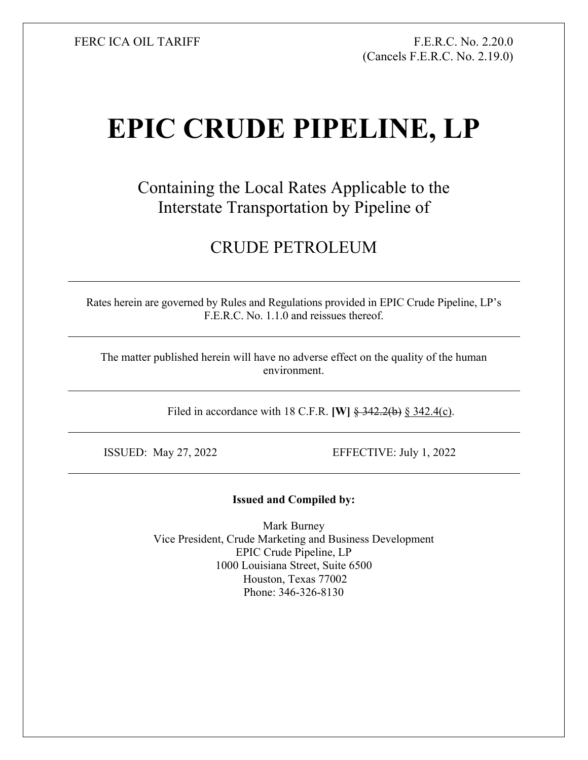FERC ICA OIL TARIFF FR.C. No. 2.20.0 (Cancels F.E.R.C. No. 2.19.0)

## **EPIC CRUDE PIPELINE, LP**

Containing the Local Rates Applicable to the Interstate Transportation by Pipeline of

## CRUDE PETROLEUM

Rates herein are governed by Rules and Regulations provided in EPIC Crude Pipeline, LP's F.E.R.C. No. 1.1.0 and reissues thereof.

The matter published herein will have no adverse effect on the quality of the human environment.

Filed in accordance with 18 C.F.R. **[W]** § 342.2(b) § 342.4(c).

ISSUED: May 27, 2022 EFFECTIVE: July 1, 2022

## **Issued and Compiled by:**

Mark Burney Vice President, Crude Marketing and Business Development EPIC Crude Pipeline, LP 1000 Louisiana Street, Suite 6500 Houston, Texas 77002 Phone: 346-326-8130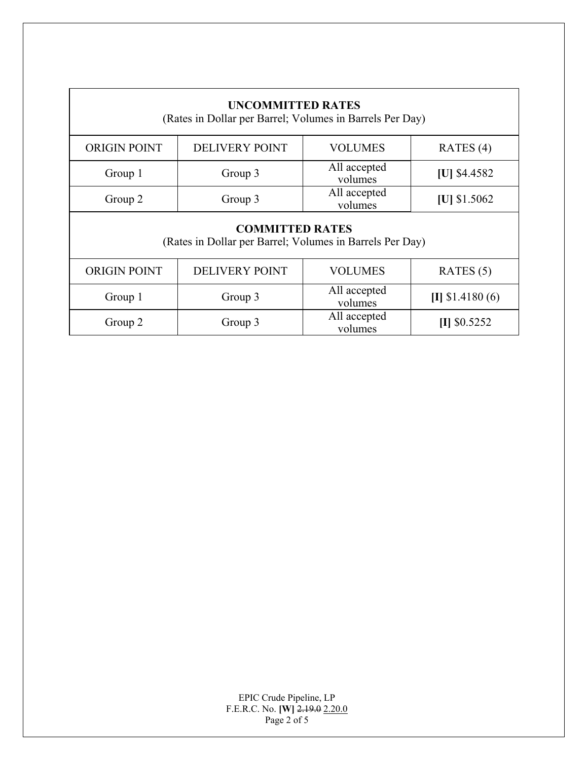| <b>UNCOMMITTED RATES</b><br>(Rates in Dollar per Barrel; Volumes in Barrels Per Day) |                       |                         |                                            |  |  |
|--------------------------------------------------------------------------------------|-----------------------|-------------------------|--------------------------------------------|--|--|
| <b>ORIGIN POINT</b>                                                                  | <b>DELIVERY POINT</b> | <b>VOLUMES</b>          | RATES $(4)$                                |  |  |
| Group 1                                                                              | Group 3               | All accepted<br>volumes | $[U]$ \$4.4582                             |  |  |
| Group 2                                                                              | Group 3               | All accepted<br>volumes | [U] $$1.5062$                              |  |  |
| <b>COMMITTED RATES</b><br>(Rates in Dollar per Barrel; Volumes in Barrels Per Day)   |                       |                         |                                            |  |  |
| <b>ORIGIN POINT</b>                                                                  | <b>DELIVERY POINT</b> | <b>VOLUMES</b>          | RATES $(5)$                                |  |  |
| Group 1<br>Group 3                                                                   |                       | All accepted<br>volumes | $\llbracket \cdot \rrbracket$ \$1.4180 (6) |  |  |
| Group 2                                                                              | Group 3               | All accepted<br>volumes | $II$ \$0.5252                              |  |  |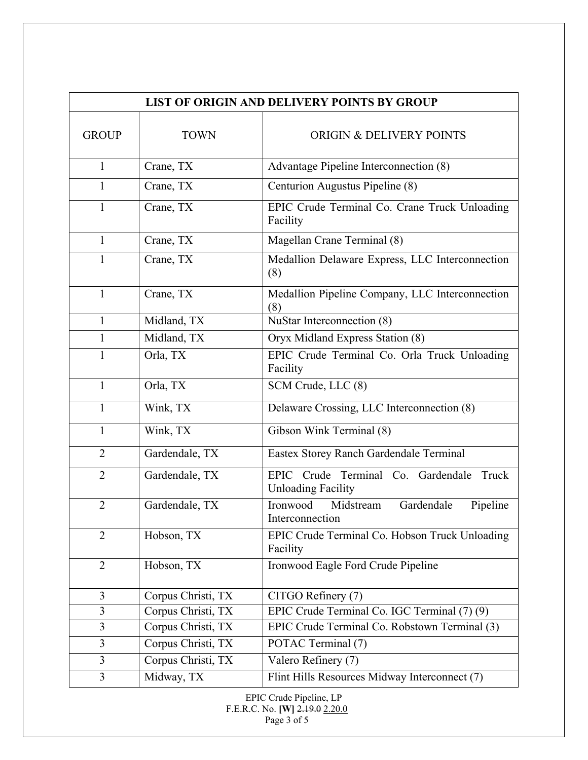| <b>LIST OF ORIGIN AND DELIVERY POINTS BY GROUP</b> |                    |                                                                          |  |
|----------------------------------------------------|--------------------|--------------------------------------------------------------------------|--|
| <b>GROUP</b>                                       | <b>TOWN</b>        | <b>ORIGIN &amp; DELIVERY POINTS</b>                                      |  |
| $\mathbf{1}$                                       | Crane, TX          | Advantage Pipeline Interconnection (8)                                   |  |
| 1                                                  | Crane, TX          | Centurion Augustus Pipeline (8)                                          |  |
| 1                                                  | Crane, TX          | EPIC Crude Terminal Co. Crane Truck Unloading<br>Facility                |  |
| $\mathbf{1}$                                       | Crane, TX          | Magellan Crane Terminal (8)                                              |  |
| 1                                                  | Crane, TX          | Medallion Delaware Express, LLC Interconnection<br>(8)                   |  |
| $\mathbf{1}$                                       | Crane, TX          | Medallion Pipeline Company, LLC Interconnection<br>(8)                   |  |
| 1                                                  | Midland, TX        | NuStar Interconnection (8)                                               |  |
| 1                                                  | Midland, TX        | Oryx Midland Express Station (8)                                         |  |
| $\mathbf{1}$                                       | Orla, TX           | EPIC Crude Terminal Co. Orla Truck Unloading<br>Facility                 |  |
| $\mathbf{1}$                                       | Orla, TX           | SCM Crude, LLC (8)                                                       |  |
| 1                                                  | Wink, TX           | Delaware Crossing, LLC Interconnection (8)                               |  |
| 1                                                  | Wink, TX           | Gibson Wink Terminal (8)                                                 |  |
| $\overline{2}$                                     | Gardendale, TX     | Eastex Storey Ranch Gardendale Terminal                                  |  |
| $\overline{2}$                                     | Gardendale, TX     | EPIC Crude Terminal Co. Gardendale<br>Truck<br><b>Unloading Facility</b> |  |
| $\overline{2}$                                     | Gardendale, TX     | Midstream<br>Gardendale<br>Ironwood<br>Pipeline<br>Interconnection       |  |
| $\overline{2}$                                     | Hobson, TX         | EPIC Crude Terminal Co. Hobson Truck Unloading<br>Facility               |  |
| $\overline{2}$                                     | Hobson, TX         | Ironwood Eagle Ford Crude Pipeline                                       |  |
| 3                                                  | Corpus Christi, TX | CITGO Refinery (7)                                                       |  |
| 3                                                  | Corpus Christi, TX | EPIC Crude Terminal Co. IGC Terminal (7) (9)                             |  |
| 3                                                  | Corpus Christi, TX | EPIC Crude Terminal Co. Robstown Terminal (3)                            |  |
| $\overline{3}$                                     | Corpus Christi, TX | POTAC Terminal (7)                                                       |  |
| 3                                                  | Corpus Christi, TX | Valero Refinery (7)                                                      |  |
| 3                                                  | Midway, TX         | Flint Hills Resources Midway Interconnect (7)                            |  |

EPIC Crude Pipeline, LP F.E.R.C. No. **[W]** 2.19.0 2.20.0 Page 3 of 5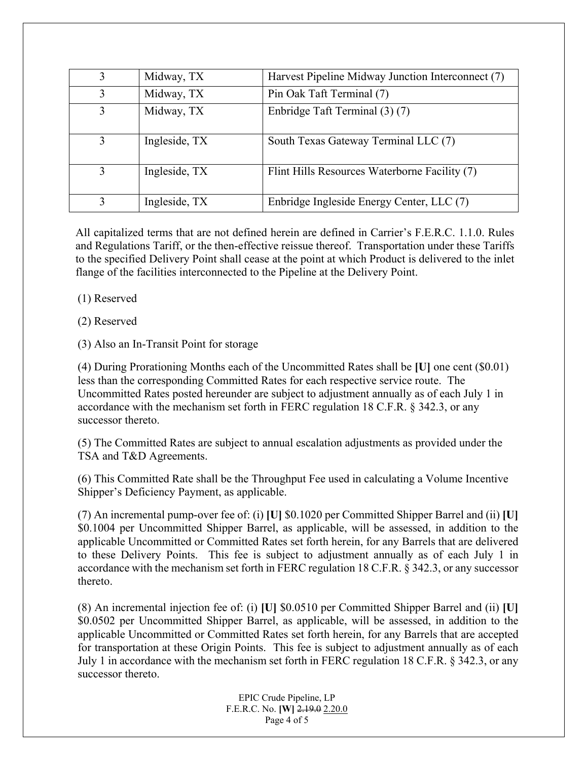| 3 | Midway, TX    | Harvest Pipeline Midway Junction Interconnect (7) |
|---|---------------|---------------------------------------------------|
| 3 | Midway, TX    | Pin Oak Taft Terminal (7)                         |
| 3 | Midway, TX    | Enbridge Taft Terminal (3) (7)                    |
| 3 | Ingleside, TX | South Texas Gateway Terminal LLC (7)              |
| 3 | Ingleside, TX | Flint Hills Resources Waterborne Facility (7)     |
|   | Ingleside, TX | Enbridge Ingleside Energy Center, LLC (7)         |

All capitalized terms that are not defined herein are defined in Carrier's F.E.R.C. 1.1.0. Rules and Regulations Tariff, or the then-effective reissue thereof. Transportation under these Tariffs to the specified Delivery Point shall cease at the point at which Product is delivered to the inlet flange of the facilities interconnected to the Pipeline at the Delivery Point.

(1) Reserved

(2) Reserved

(3) Also an In-Transit Point for storage

 (4) During Prorationing Months each of the Uncommitted Rates shall be **[U]** one cent (\$0.01) less than the corresponding Committed Rates for each respective service route. The Uncommitted Rates posted hereunder are subject to adjustment annually as of each July 1 in accordance with the mechanism set forth in FERC regulation 18 C.F.R. § 342.3, or any successor thereto.

(5) The Committed Rates are subject to annual escalation adjustments as provided under the TSA and T&D Agreements.

(6) This Committed Rate shall be the Throughput Fee used in calculating a Volume Incentive Shipper's Deficiency Payment, as applicable.

(7) An incremental pump-over fee of: (i) **[U]** \$0.1020 per Committed Shipper Barrel and (ii) **[U]** \$0.1004 per Uncommitted Shipper Barrel, as applicable, will be assessed, in addition to the applicable Uncommitted or Committed Rates set forth herein, for any Barrels that are delivered to these Delivery Points. This fee is subject to adjustment annually as of each July 1 in accordance with the mechanism set forth in FERC regulation 18 C.F.R. § 342.3, or any successor thereto.

(8) An incremental injection fee of: (i) **[U]** \$0.0510 per Committed Shipper Barrel and (ii) **[U]** \$0.0502 per Uncommitted Shipper Barrel, as applicable, will be assessed, in addition to the applicable Uncommitted or Committed Rates set forth herein, for any Barrels that are accepted for transportation at these Origin Points. This fee is subject to adjustment annually as of each July 1 in accordance with the mechanism set forth in FERC regulation 18 C.F.R. § 342.3, or any successor thereto.

> EPIC Crude Pipeline, LP F.E.R.C. No. **[W]** 2.19.0 2.20.0 Page 4 of 5